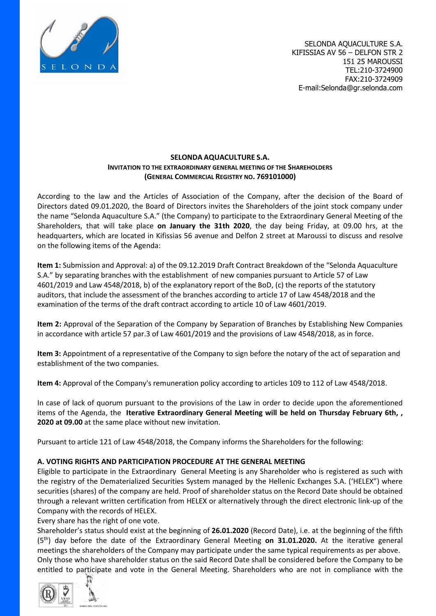

## **SELONDA AQUACULTURE S.A. INVITATION TO THE EXTRAORDINARY GENERAL MEETING OF THE SHAREHOLDERS (GENERAL COMMERCIAL REGISTRY NO. 769101000)**

According to the law and the Articles of Association of the Company, after the decision of the Board of Directors dated 09.01.2020, the Board of Directors invites the Shareholders of the joint stock company under the name "Selonda Aquaculture S.A." (the Company) to participate to the Extraordinary General Meeting of the Shareholders, that will take place **on January the 31th 2020**, the day being Friday, at 09.00 hrs, at the headquarters, which are located in Kifissias 56 avenue and Delfon 2 street at Maroussi to discuss and resolve on the following items of the Agenda:

**Item 1:** Submission and Approval: a) of the 09.12.2019 Draft Contract Breakdown of the "Selonda Aquaculture S.A." by separating branches with the establishment of new companies pursuant to Article 57 of Law 4601/2019 and Law 4548/2018, b) of the explanatory report of the BoD, (c) the reports of the statutory auditors, that include the assessment of the branches according to article 17 of Law 4548/2018 and the examination of the terms of the draft contract according to article 10 of Law 4601/2019.

**Item 2:** Approval of the Separation of the Company by Separation of Branches by Establishing New Companies in accordance with article 57 par.3 of Law 4601/2019 and the provisions of Law 4548/2018, as in force.

**Item 3:** Appointment of a representative of the Company to sign before the notary of the act of separation and establishment of the two companies.

**Item 4:** Approval of the Company's remuneration policy according to articles 109 to 112 of Law 4548/2018.

In case of lack of quorum pursuant to the provisions of the Law in order to decide upon the aforementioned items of the Agenda, the **Iterative Extraordinary General Meeting will be held on Thursday February 6th, , 2020 at 09.00** at the same place without new invitation.

Pursuant to article 121 of Law 4548/2018, the Company informs the Shareholders for the following:

# **A. VOTING RIGHTS AND PARTICIPATION PROCEDURE AT THE GENERAL MEETING**

Eligible to participate in the Extraordinary General Meeting is any Shareholder who is registered as such with the registry of the Dematerialized Securities System managed by the Hellenic Exchanges S.A. ('HELEX") where securities (shares) of the company are held. Proof of shareholder status on the Record Date should be obtained through a relevant written certification from HELEX or alternatively through the direct electronic link-up of the Company with the records of HELEX.

Every share has the right of one vote.

Shareholder's status should exist at the beginning of **26.01.2020** (Record Date), i.e. at the beginning of the fifth (5th) day before the date of the Extraordinary General Meeting **on 31.01.2020.** At the iterative general meetings the shareholders of the Company may participate under the same typical requirements as per above. Only those who have shareholder status on the said Record Date shall be considered before the Company to be entitled to participate and vote in the General Meeting. Shareholders who are not in compliance with the

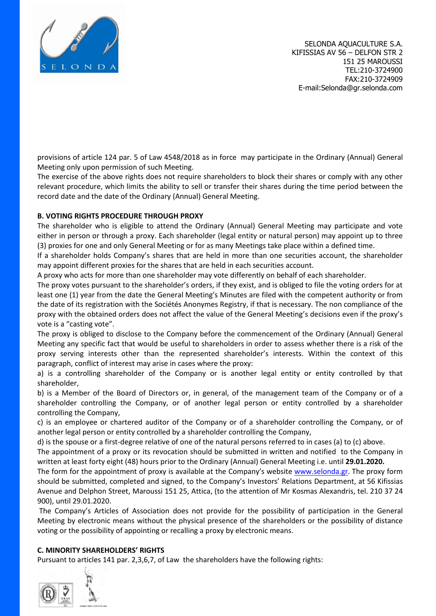

SELONDA AQUACULTURE S.A. KIFISSIAS AV 56 – DELFON STR 2 151 25 MAROUSSI TEL:210-3724900 FAX:210-3724909 E-mail:Selonda@gr.selonda.com

provisions of article 124 par. 5 of Law 4548/2018 as in force may participate in the Ordinary (Annual) General Meeting only upon permission of such Meeting.

The exercise of the above rights does not require shareholders to block their shares or comply with any other relevant procedure, which limits the ability to sell or transfer their shares during the time period between the record date and the date of the Ordinary (Annual) General Meeting.

## **B. VOTING RIGHTS PROCEDURE THROUGH PROXY**

The shareholder who is eligible to attend the Ordinary (Annual) General Meeting may participate and vote either in person or through a proxy. Each shareholder (legal entity or natural person) may appoint up to three (3) proxies for one and only General Meeting or for as many Meetings take place within a defined time.

If a shareholder holds Company's shares that are held in more than one securities account, the shareholder may appoint different proxies for the shares that are held in each securities account.

A proxy who acts for more than one shareholder may vote differently on behalf of each shareholder.

The proxy votes pursuant to the shareholder's orders, if they exist, and is obliged to file the voting orders for at least one (1) year from the date the General Meeting's Minutes are filed with the competent authority or from the date of its registration with the Sociétés Anonymes Registry, if that is necessary. The non compliance of the proxy with the obtained orders does not affect the value of the General Meeting's decisions even if the proxy's vote is a "casting vote".

The proxy is obliged to disclose to the Company before the commencement of the Ordinary (Annual) General Meeting any specific fact that would be useful to shareholders in order to assess whether there is a risk of the proxy serving interests other than the represented shareholder's interests. Within the context of this paragraph, conflict of interest may arise in cases where the proxy:

a) is a controlling shareholder of the Company or is another legal entity or entity controlled by that shareholder,

b) is a Member of the Board of Directors or, in general, of the management team of the Company or of a shareholder controlling the Company, or of another legal person or entity controlled by a shareholder controlling the Company,

c) is an employee or chartered auditor of the Company or of a shareholder controlling the Company, or of another legal person or entity controlled by a shareholder controlling the Company,

d) is the spouse or a first-degree relative of one of the natural persons referred to in cases (a) to (c) above.

The appointment of a proxy or its revocation should be submitted in written and notified to the Company in written at least forty eight (48) hours prior to the Ordinary (Annual) General Meeting i.e. until **29.01.2020.**

The form for the appointment of proxy is available at the Company's website [www.selonda.gr.](http://www.selonda.gr/) The proxy form should be submitted, completed and signed, to the Company's Investors' Relations Department, at 56 Kifissias Avenue and Delphon Street, Maroussi 151 25, Attica, (to the attention of Mr Kosmas Alexandris, tel. 210 37 24 900), until 29.01.2020.

The Company's Articles of Association does not provide for the possibility of participation in the General Meeting by electronic means without the physical presence of the shareholders or the possibility of distance voting or the possibility of appointing or recalling a proxy by electronic means.

### **C. MINORITY SHAREHOLDERS' RIGHTS**

Pursuant to articles 141 par. 2,3,6,7, of Law the shareholders have the following rights:

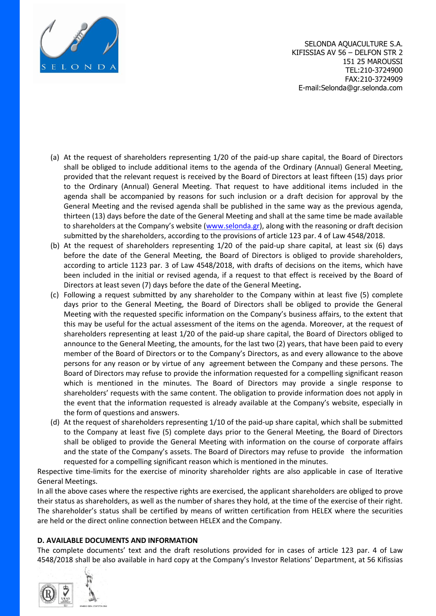

SELONDA AQUACULTURE S.A. KIFISSIAS AV 56 – DELFON STR 2 151 25 MAROUSSI TEL:210-3724900 FAX:210-3724909 E-mail:Selonda@gr.selonda.com

- (a) At the request of shareholders representing 1/20 of the paid-up share capital, the Board of Directors shall be obliged to include additional items to the agenda of the Ordinary (Annual) General Meeting, provided that the relevant request is received by the Board of Directors at least fifteen (15) days prior to the Ordinary (Annual) General Meeting. That request to have additional items included in the agenda shall be accompanied by reasons for such inclusion or a draft decision for approval by the General Meeting and the revised agenda shall be published in the same way as the previous agenda, thirteen (13) days before the date of the General Meeting and shall at the same time be made available to shareholders at the Company's website ([www.selonda.gr\)](http://www.selonda.gr/), along with the reasoning or draft decision submitted by the shareholders, according to the provisions of article 123 par. 4 of Law 4548/2018.
- (b) At the request of shareholders representing 1/20 of the paid-up share capital, at least six (6) days before the date of the General Meeting, the Board of Directors is obliged to provide shareholders, according to article 1123 par. 3 of Law 4548/2018, with drafts of decisions on the items, which have been included in the initial or revised agenda, if a request to that effect is received by the Board of Directors at least seven (7) days before the date of the General Meeting**.**
- (c) Following a request submitted by any shareholder to the Company within at least five (5) complete days prior to the General Meeting, the Board of Directors shall be obliged to provide the General Meeting with the requested specific information on the Company's business affairs, to the extent that this may be useful for the actual assessment of the items on the agenda. Moreover, at the request of shareholders representing at least 1/20 of the paid-up share capital, the Board of Directors obliged to announce to the General Meeting, the amounts, for the last two (2) years, that have been paid to every member of the Board of Directors or to the Company's Directors, as and every allowance to the above persons for any reason or by virtue of any agreement between the Company and these persons. The Board of Directors may refuse to provide the information requested for a compelling significant reason which is mentioned in the minutes. The Board of Directors may provide a single response to shareholders' requests with the same content. The obligation to provide information does not apply in the event that the information requested is already available at the Company's website, especially in the form of questions and answers.
- (d) At the request of shareholders representing 1/10 of the paid-up share capital, which shall be submitted to the Company at least five (5) complete days prior to the General Meeting, the Board of Directors shall be obliged to provide the General Meeting with information on the course of corporate affairs and the state of the Company's assets. The Board of Directors may refuse to provide the information requested for a compelling significant reason which is mentioned in the minutes.

Respective time-limits for the exercise of minority shareholder rights are also applicable in case of Iterative General Meetings.

In all the above cases where the respective rights are exercised, the applicant shareholders are obliged to prove their status as shareholders, as well as the number of shares they hold, at the time of the exercise of their right. The shareholder's status shall be certified by means of written certification from HELEX where the securities are held or the direct online connection between HELEX and the Company.

### **D. AVAILABLE DOCUMENTS AND INFORMATION**

The complete documents' text and the draft resolutions provided for in cases of article 123 par. 4 of Law 4548/2018 shall be also available in hard copy at the Company's Investor Relations' Department, at 56 Kifissias